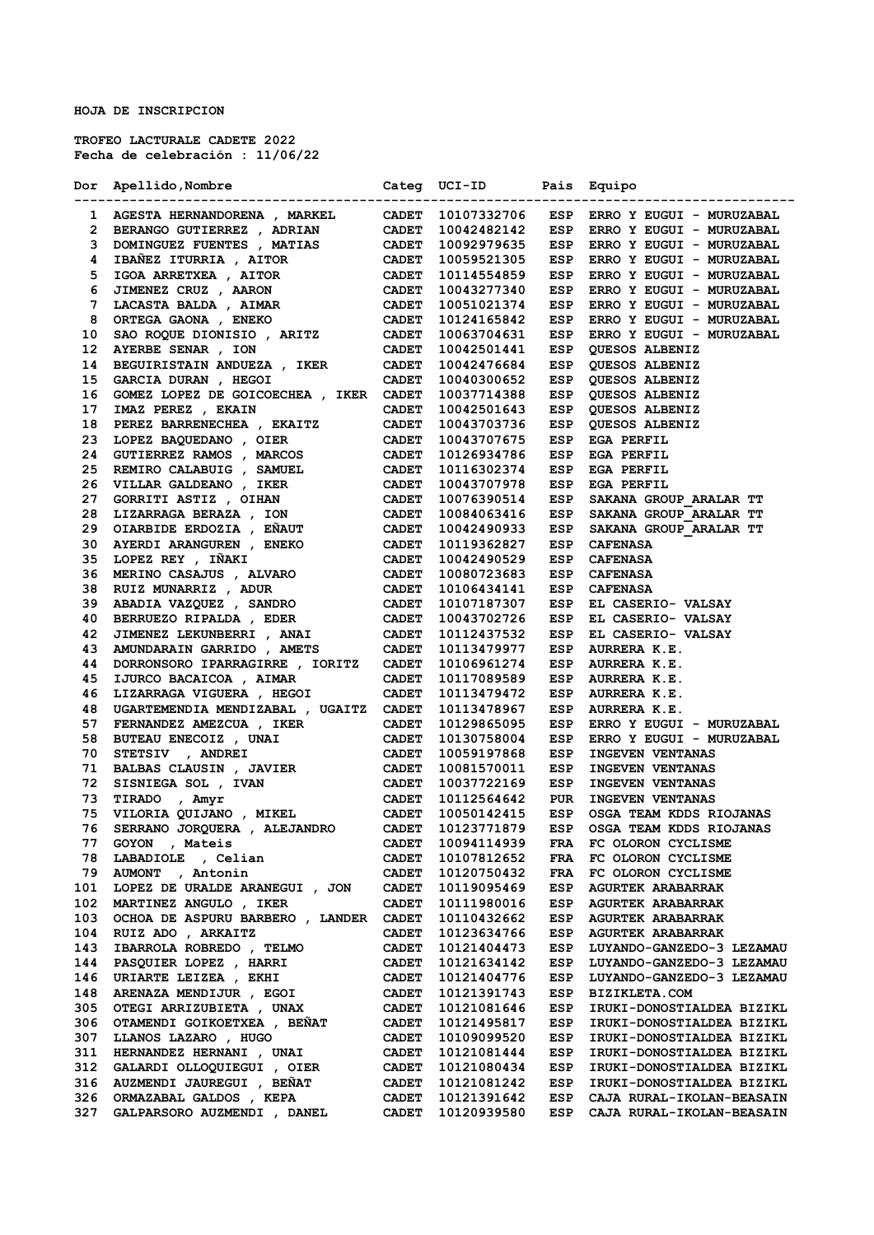**HOJA DE INSCRIPCION**

**TROFEO LACTURALE CADETE 2022 Fecha de celebración : 11/06/22**

|     | Dor Apellido, Nombre                                                                                                                                                                                                                           |                              | Categ UCI-ID Pais Equipo |            |                              |
|-----|------------------------------------------------------------------------------------------------------------------------------------------------------------------------------------------------------------------------------------------------|------------------------------|--------------------------|------------|------------------------------|
|     |                                                                                                                                                                                                                                                |                              |                          |            | ----------------------       |
|     |                                                                                                                                                                                                                                                |                              |                          |            | ESP ERRO Y EUGUI - MURUZABAL |
|     |                                                                                                                                                                                                                                                |                              |                          | ESP        | ERRO Y EUGUI - MURUZABAL     |
|     |                                                                                                                                                                                                                                                |                              |                          | ESP        | ERRO Y EUGUI - MURUZABAL     |
|     |                                                                                                                                                                                                                                                |                              |                          | ESP        | ERRO Y EUGUI - MURUZABAL     |
|     |                                                                                                                                                                                                                                                |                              |                          | ESP        | ERRO Y EUGUI - MURUZABAL     |
|     |                                                                                                                                                                                                                                                |                              |                          | <b>ESP</b> | ERRO Y EUGUI - MURUZABAL     |
|     |                                                                                                                                                                                                                                                |                              |                          | ESP        | ERRO Y EUGUI - MURUZABAL     |
|     | 1 AGESTA HERNANDORENA , MARKEL CADET 10107332706<br>2 BERANGO GUTIERREZ , ADRIAN CADET 10107332706<br>3 DOMINGUEZ FUENTES , MATIAS CADET 10092979635<br>4 IBAÑEZ ITURRIA , AITOR CADET 10059521305<br>5 IGOA ARRETXEA , AITOR CADET 10         |                              |                          | ESP        | ERRO Y EUGUI - MURUZABAL     |
| 10  |                                                                                                                                                                                                                                                |                              |                          | ESP        | ERRO Y EUGUI - MURUZABAL     |
| 12  |                                                                                                                                                                                                                                                |                              |                          | ESP        | <b>QUESOS ALBENIZ</b>        |
| 14  | BEGUIRISTAIN ANDUEZA, IKER                                                                                                                                                                                                                     | <b>CADET</b>                 | 10042476684              | ESP        | QUESOS ALBENIZ               |
| 15  | GARCIA DURAN , HEGOI                                                                                                                                                                                                                           | <b>CADET</b>                 | 10040300652              | ESP        | QUESOS ALBENIZ               |
| 16  | GOMEZ LOPEZ DE GOICOECHEA , IKER CADET                                                                                                                                                                                                         |                              | 10037714388              | ESP        | QUESOS ALBENIZ               |
| 17  | IMAZ PEREZ , EKAIN                                                                                                                                                                                                                             | <b>CADET</b>                 | 10042501643              | ESP        | QUESOS ALBENIZ               |
|     | 17 IMAZ FEREZ , ERAIN CADET<br>18 PEREZ BARRENECHEA , EKAITZ CADET<br>23 LOPEZ BAQUEDANO , OIER CADET<br>24 GUTIERREZ RAMOS , MARCOS CADET<br>25 REMIRO CALABUIG , SAMUEL CADET<br>26 VILLAR GALDEANO , IKER CADET<br>27 GORRITI ASTIZ , O     |                              | 10043703736              | ESP        | QUESOS ALBENIZ               |
|     |                                                                                                                                                                                                                                                |                              | 10043707675              | <b>ESP</b> | EGA PERFIL                   |
|     |                                                                                                                                                                                                                                                |                              | 10126934786              | ESP        | EGA PERFIL                   |
|     |                                                                                                                                                                                                                                                |                              | 10116302374              | ESP        | EGA PERFIL                   |
|     |                                                                                                                                                                                                                                                |                              | 10043707978              | ESP        | EGA PERFIL                   |
|     |                                                                                                                                                                                                                                                |                              | 10076390514              | <b>ESP</b> | SAKANA GROUP ARALAR TT       |
|     |                                                                                                                                                                                                                                                |                              | 10084063416              | <b>ESP</b> | SAKANA GROUP ARALAR TT       |
|     |                                                                                                                                                                                                                                                |                              | 10042490933              | ESP        | SAKANA GROUP ARALAR TT       |
|     | 30 AYERDI ARANGUREN , ENEKO CADET<br>35 LOPEZ REY , IÑAKI CADET<br>36 MERINO CASAJUS , ALVARO CADET<br>38 RUIZ MUNARRIZ , ADUR CADET                                                                                                           |                              | 10119362827              | ESP        | <b>CAFENASA</b>              |
|     |                                                                                                                                                                                                                                                |                              | 10042490529              | ESP        | <b>CAFENASA</b>              |
|     |                                                                                                                                                                                                                                                |                              | 10080723683              | ESP        | <b>CAFENASA</b>              |
|     |                                                                                                                                                                                                                                                |                              | 10106434141              | <b>ESP</b> | <b>CAFENASA</b>              |
| 39  |                                                                                                                                                                                                                                                |                              | 10107187307              | ESP        | EL CASERIO- VALSAY           |
| 40  |                                                                                                                                                                                                                                                |                              | 10043702726              | ESP        | EL CASERIO- VALSAY           |
| 42  |                                                                                                                                                                                                                                                |                              | 10112437532              | ESP        | EL CASERIO- VALSAY           |
| 43  | AMUNDARAIN GARRIDO , AMETS CADET                                                                                                                                                                                                               |                              | 10113479977              | <b>ESP</b> | AURRERA K.E.                 |
| 44  | DORRONSORO IPARRAGIRRE , IORITZ CADET                                                                                                                                                                                                          |                              | 10106961274              | ESP        | <b>AURRERA K.E.</b>          |
| 45  | IJURCO BACAICOA , AIMAR                                                                                                                                                                                                                        | <b>CADET</b>                 | 10117089589              | ESP        | <b>AURRERA K.E.</b>          |
| 46  | LIZARRAGA VIGUERA , HEGOI                                                                                                                                                                                                                      | <b>CADET</b>                 | 10113479472              | ESP        | <b>AURRERA K.E.</b>          |
| 48  | UGARTEMENDIA MENDIZABAL , UGAITZ CADET                                                                                                                                                                                                         |                              | 10113478967              | ESP        | <b>AURRERA K.E.</b>          |
| 57  |                                                                                                                                                                                                                                                | <b>CADET</b>                 | 10129865095              | ESP        | ERRO Y EUGUI - MURUZABAL     |
| 58  | <b>FERNANDEZ AMEZCUA , IKER<br/>BUTEAU ENECOIZ , UNAI</b>                                                                                                                                                                                      | <b>CADET</b>                 | 10130758004              | <b>ESP</b> | ERRO Y EUGUI - MURUZABAL     |
| 70  | STETSIV , ANDREI<br>STETSIV , ANDREI<br>BALBAS CLAUSIN , JAVIER CADET<br>SISNIEGA SOL , IVAN CADET<br>TIRADO , Amyr CADET<br>VILORIA QUIJANO , MIKEL CADET<br>SERRANO JORQUERA , ALEJANDRO CADET<br>SERRANO JORQUERA , ALEJANDRO CADET<br>SERR |                              | 10059197868              | ESP        | <b>INGEVEN VENTANAS</b>      |
| 71  |                                                                                                                                                                                                                                                |                              | 10081570011              | ESP        | <b>INGEVEN VENTANAS</b>      |
| 72  |                                                                                                                                                                                                                                                |                              | 10037722169              | ESP        | <b>INGEVEN VENTANAS</b>      |
| 73  |                                                                                                                                                                                                                                                |                              | 10112564642              | <b>PUR</b> | INGEVEN VENTANAS             |
| 75  |                                                                                                                                                                                                                                                |                              | 10050142415              | ESP        | OSGA TEAM KDDS RIOJANAS      |
| 76  |                                                                                                                                                                                                                                                |                              | 10123771879              | ESP        | OSGA TEAM KDDS RIOJANAS      |
| 77  | , Mateis                                                                                                                                                                                                                                       |                              | 10094114939              |            | FC OLORON CYCLISME           |
| 78  | <b>GOYON</b><br>LABADIOLE , Celian                                                                                                                                                                                                             | <b>CADET</b><br><b>CADET</b> | 10107812652              | FRA<br>FRA | FC OLORON CYCLISME           |
| 79  | AUMONT , Antonin                                                                                                                                                                                                                               | <b>CADET</b>                 | 10120750432              | FRA        | FC OLORON CYCLISME           |
| 101 | LOPEZ DE URALDE ARANEGUI , JON                                                                                                                                                                                                                 | <b>CADET</b>                 | 10119095469              | ESP        | <b>AGURTEK ARABARRAK</b>     |
| 102 |                                                                                                                                                                                                                                                | <b>CADET</b>                 | 10111980016              |            | <b>AGURTEK ARABARRAK</b>     |
| 103 | MARTINEZ ANGULO, IKER                                                                                                                                                                                                                          |                              | 10110432662              | ESP        |                              |
|     | OCHOA DE ASPURU BARBERO, LANDER                                                                                                                                                                                                                | <b>CADET</b>                 |                          | ESP        | <b>AGURTEK ARABARRAK</b>     |
| 104 | RUIZ ADO , ARKAITZ                                                                                                                                                                                                                             | <b>CADET</b>                 | 10123634766              | ESP        | <b>AGURTEK ARABARRAK</b>     |
| 143 | IBARROLA ROBREDO , TELMO                                                                                                                                                                                                                       | <b>CADET</b>                 | 10121404473              | ESP        | LUYANDO-GANZEDO-3 LEZAMAU    |
| 144 | PASQUIER LOPEZ, HARRI                                                                                                                                                                                                                          | <b>CADET</b>                 | 10121634142              | ESP        | LUYANDO-GANZEDO-3 LEZAMAU    |
| 146 | URIARTE LEIZEA , EKHI                                                                                                                                                                                                                          | <b>CADET</b>                 | 10121404776              | ESP        | LUYANDO-GANZEDO-3 LEZAMAU    |
| 148 | ARENAZA MENDIJUR, EGOI                                                                                                                                                                                                                         | <b>CADET</b>                 | 10121391743              | ESP        | <b>BIZIKLETA.COM</b>         |
| 305 | OTEGI ARRIZUBIETA , UNAX                                                                                                                                                                                                                       | <b>CADET</b>                 | 10121081646              | ESP        | IRUKI-DONOSTIALDEA BIZIKL    |
| 306 | OTAMENDI GOIKOETXEA , BEÑAT                                                                                                                                                                                                                    | <b>CADET</b>                 | 10121495817              | ESP        | IRUKI-DONOSTIALDEA BIZIKL    |
| 307 | LLANOS LAZARO , HUGO                                                                                                                                                                                                                           | <b>CADET</b>                 | 10109099520              | ESP        | IRUKI-DONOSTIALDEA BIZIKL    |
| 311 | HERNANDEZ HERNANI, UNAI                                                                                                                                                                                                                        | <b>CADET</b>                 | 10121081444              | ESP        | IRUKI-DONOSTIALDEA BIZIKL    |
| 312 | GALARDI OLLOQUIEGUI , OIER                                                                                                                                                                                                                     | <b>CADET</b>                 | 10121080434              | ESP        | IRUKI-DONOSTIALDEA BIZIKL    |
| 316 | AUZMENDI JAUREGUI , BEÑAT                                                                                                                                                                                                                      | <b>CADET</b>                 | 10121081242              | ESP        | IRUKI-DONOSTIALDEA BIZIKL    |
| 326 | ORMAZABAL GALDOS , KEPA                                                                                                                                                                                                                        | <b>CADET</b>                 | 10121391642              | ESP        | CAJA RURAL-IKOLAN-BEASAIN    |
| 327 | GALPARSORO AUZMENDI , DANEL                                                                                                                                                                                                                    | <b>CADET</b>                 | 10120939580              | ESP        | CAJA RURAL-IKOLAN-BEASAIN    |